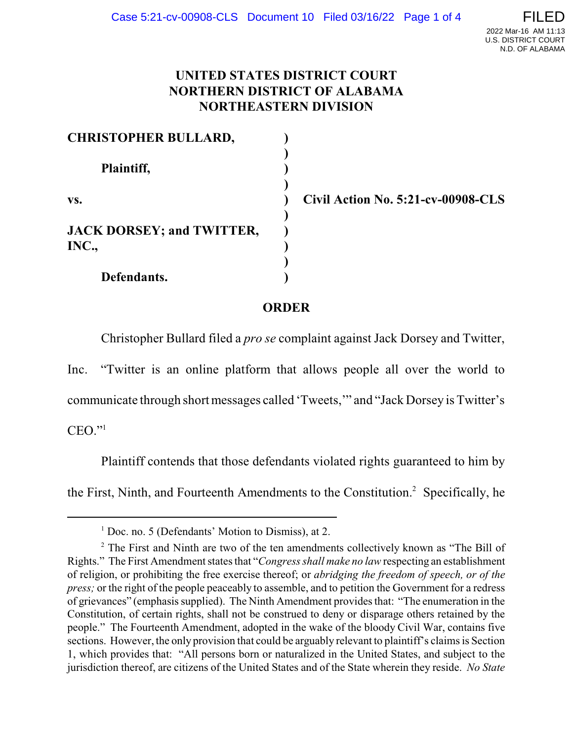## **UNITED STATES DISTRICT COURT NORTHERN DISTRICT OF ALABAMA NORTHEASTERN DIVISION**

| <b>CHRISTOPHER BULLARD,</b>      |  |
|----------------------------------|--|
|                                  |  |
| Plaintiff,                       |  |
|                                  |  |
| VS.                              |  |
|                                  |  |
| <b>JACK DORSEY; and TWITTER,</b> |  |
| INC.,                            |  |
|                                  |  |
| Defendants.                      |  |

**vs. ) Civil Action No. 5:21-cv-00908-CLS**

## **ORDER**

Christopher Bullard filed a *pro se* complaint against Jack Dorsey and Twitter,

Inc. "Twitter is an online platform that allows people all over the world to

communicate through short messages called 'Tweets,'" and "Jack Dorsey is Twitter's

 $CEO.$ "<sup>1</sup>

Plaintiff contends that those defendants violated rights guaranteed to him by the First, Ninth, and Fourteenth Amendments to the Constitution. <sup>2</sup> Specifically, he

<sup>&</sup>lt;sup>1</sup> Doc. no. 5 (Defendants' Motion to Dismiss), at 2.

<sup>&</sup>lt;sup>2</sup> The First and Ninth are two of the ten amendments collectively known as "The Bill of Rights." The First Amendment states that "*Congress shall make no law* respecting an establishment of religion, or prohibiting the free exercise thereof; or *abridging the freedom of speech, or of the press;* or the right of the people peaceably to assemble, and to petition the Government for a redress of grievances" (emphasis supplied). The Ninth Amendment provides that: "The enumeration in the Constitution, of certain rights, shall not be construed to deny or disparage others retained by the people." The Fourteenth Amendment, adopted in the wake of the bloody Civil War, contains five sections. However, the only provision that could be arguably relevant to plaintiff's claims is Section 1, which provides that: "All persons born or naturalized in the United States, and subject to the jurisdiction thereof, are citizens of the United States and of the State wherein they reside. *No State*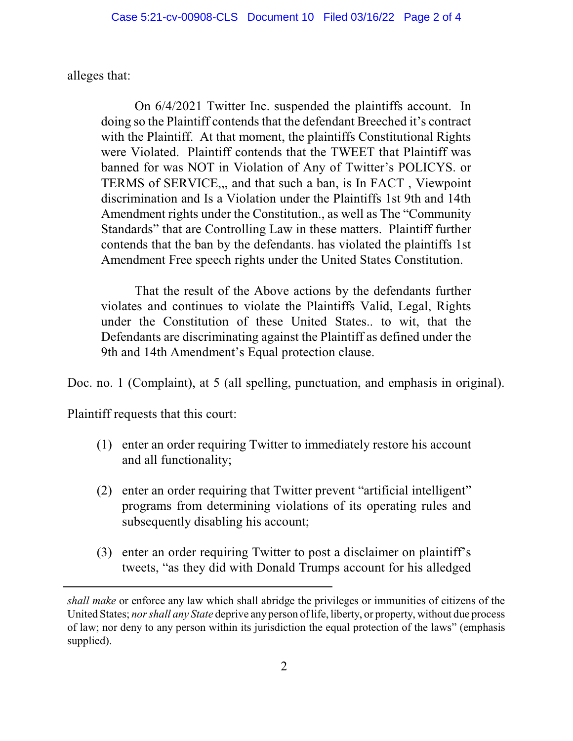alleges that:

On 6/4/2021 Twitter Inc. suspended the plaintiffs account. In doing so the Plaintiff contends that the defendant Breeched it's contract with the Plaintiff. At that moment, the plaintiffs Constitutional Rights were Violated. Plaintiff contends that the TWEET that Plaintiff was banned for was NOT in Violation of Any of Twitter's POLICYS. or TERMS of SERVICE,,, and that such a ban, is In FACT , Viewpoint discrimination and Is a Violation under the Plaintiffs 1st 9th and 14th Amendment rights under the Constitution., as well as The "Community Standards" that are Controlling Law in these matters. Plaintiff further contends that the ban by the defendants. has violated the plaintiffs 1st Amendment Free speech rights under the United States Constitution.

That the result of the Above actions by the defendants further violates and continues to violate the Plaintiffs Valid, Legal, Rights under the Constitution of these United States.. to wit, that the Defendants are discriminating against the Plaintiff as defined under the 9th and 14th Amendment's Equal protection clause.

Doc. no. 1 (Complaint), at 5 (all spelling, punctuation, and emphasis in original).

Plaintiff requests that this court:

- (1) enter an order requiring Twitter to immediately restore his account and all functionality;
- (2) enter an order requiring that Twitter prevent "artificial intelligent" programs from determining violations of its operating rules and subsequently disabling his account;
- (3) enter an order requiring Twitter to post a disclaimer on plaintiff's tweets, "as they did with Donald Trumps account for his alledged

*shall make* or enforce any law which shall abridge the privileges or immunities of citizens of the United States; *nor shall any State* deprive any person of life, liberty, or property, without due process of law; nor deny to any person within its jurisdiction the equal protection of the laws" (emphasis supplied).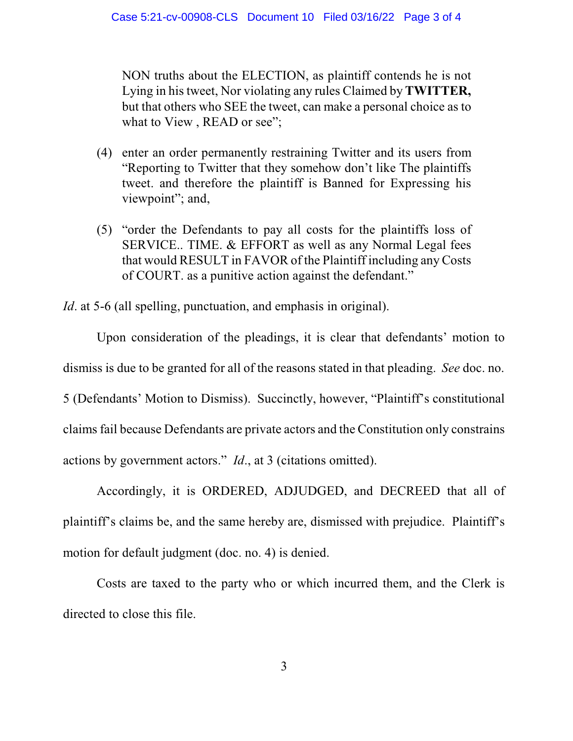NON truths about the ELECTION, as plaintiff contends he is not Lying in his tweet, Nor violating any rules Claimed by **TWITTER,** but that others who SEE the tweet, can make a personal choice as to what to View, READ or see";

- (4) enter an order permanently restraining Twitter and its users from "Reporting to Twitter that they somehow don't like The plaintiffs tweet. and therefore the plaintiff is Banned for Expressing his viewpoint"; and,
- (5) "order the Defendants to pay all costs for the plaintiffs loss of SERVICE.. TIME. & EFFORT as well as any Normal Legal fees that would RESULT in FAVOR of the Plaintiff including any Costs of COURT. as a punitive action against the defendant."

*Id*. at 5-6 (all spelling, punctuation, and emphasis in original).

Upon consideration of the pleadings, it is clear that defendants' motion to dismiss is due to be granted for all of the reasons stated in that pleading. *See* doc. no. 5 (Defendants' Motion to Dismiss). Succinctly, however, "Plaintiff's constitutional claims fail because Defendants are private actors and the Constitution only constrains actions by government actors." *Id*., at 3 (citations omitted).

Accordingly, it is ORDERED, ADJUDGED, and DECREED that all of plaintiff's claims be, and the same hereby are, dismissed with prejudice. Plaintiff's motion for default judgment (doc. no. 4) is denied.

Costs are taxed to the party who or which incurred them, and the Clerk is directed to close this file.